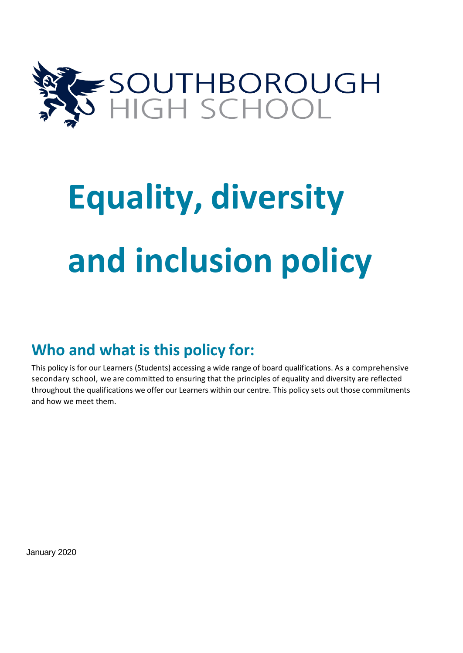

# **Equality, diversity and inclusion policy**

## **Who and what is this policy for:**

This policy is for our Learners (Students) accessing a wide range of board qualifications. As a comprehensive secondary school, we are committed to ensuring that the principles of equality and diversity are reflected throughout the qualifications we offer our Learners within our centre. This policy sets out those commitments and how we meet them.

January 2020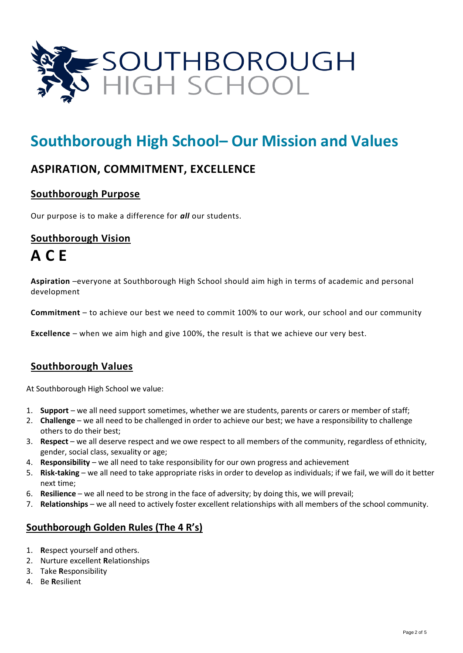

## **Southborough High School– Our Mission and Values**

## **ASPIRATION, COMMITMENT, EXCELLENCE**

## **Southborough Purpose**

Our purpose is to make a difference for *all* our students.

## **Southborough Vision A C E**

**Aspiration** –everyone at Southborough High School should aim high in terms of academic and personal development

**Commitment** – to achieve our best we need to commit 100% to our work, our school and our community

**Excellence** – when we aim high and give 100%, the result is that we achieve our very best.

## **Southborough Values**

At Southborough High School we value:

- 1. **Support** we all need support sometimes, whether we are students, parents or carers or member of staff;
- 2. **Challenge** we all need to be challenged in order to achieve our best; we have a responsibility to challenge others to do their best;
- 3. **Respect** we all deserve respect and we owe respect to all members of the community, regardless of ethnicity, gender, social class, sexuality or age;
- 4. **Responsibility** we all need to take responsibility for our own progress and achievement
- 5. **Risk-taking** we all need to take appropriate risks in order to develop as individuals; if we fail, we will do it better next time;
- 6. **Resilience** we all need to be strong in the face of adversity; by doing this, we will prevail;
- 7. **Relationships** we all need to actively foster excellent relationships with all members of the school community.

## **Southborough Golden Rules (The 4 R's)**

- 1. **R**espect yourself and others.
- 2. Nurture excellent **R**elationships
- 3. Take **R**esponsibility
- 4. Be **R**esilient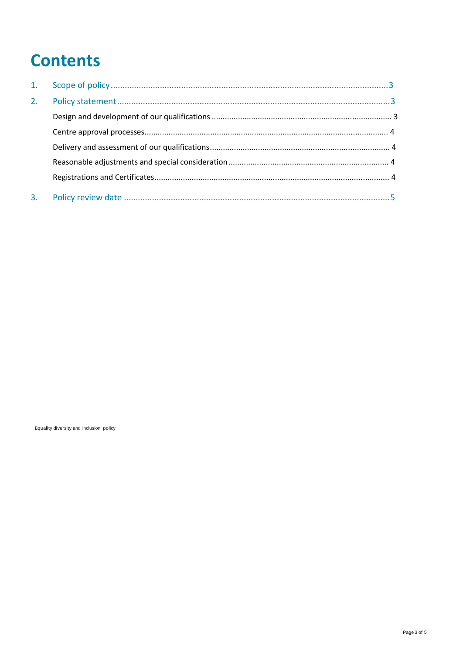# **Contents**

| 2. |  |
|----|--|
|    |  |
|    |  |
|    |  |
|    |  |
|    |  |
| 3. |  |

Equality diversity and inclusion policy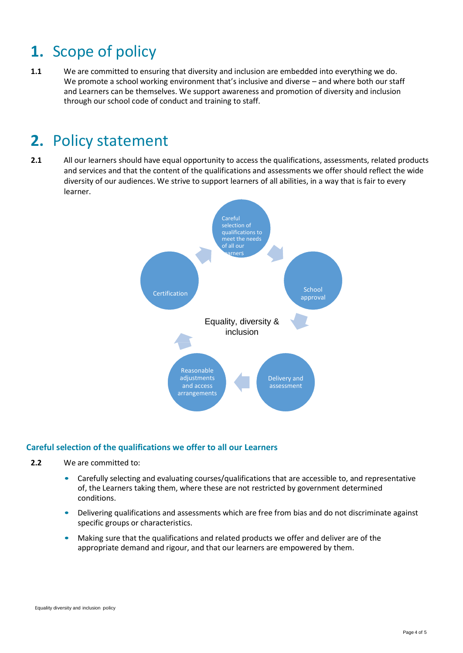## **1.** Scope of policy

**1.1** We are committed to ensuring that diversity and inclusion are embedded into everything we do. We promote a school working environment that's inclusive and diverse – and where both our staff and Learners can be themselves. We support awareness and promotion of diversity and inclusion through our school code of conduct and training to staff.

## **2.** Policy statement

**2.1** All our learners should have equal opportunity to access the qualifications, assessments, related products and services and that the content of the qualifications and assessments we offer should reflect the wide diversity of our audiences. We strive to support learners of all abilities, in a way that is fair to every learner.



### **Careful selection of the qualifications we offer to all our Learners**

- **2.2** We are committed to:
	- Carefully selecting and evaluating courses/qualifications that are accessible to, and representative of, the Learners taking them, where these are not restricted by government determined conditions.
	- Delivering qualifications and assessments which are free from bias and do not discriminate against specific groups or characteristics.
	- Making sure that the qualifications and related products we offer and deliver are of the appropriate demand and rigour, and that our learners are empowered by them.